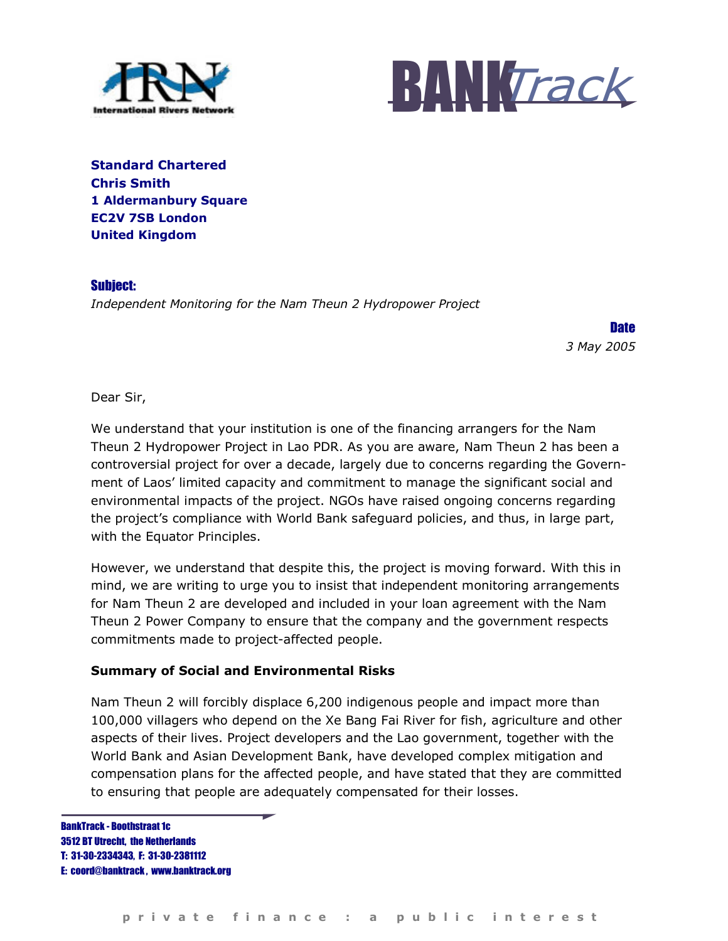



Standard Chartered Chris Smith 1 Aldermanbury Square EC2V 7SB London United Kingdom

Subject: Independent Monitoring for the Nam Theun 2 Hydropower Project

> **Date** 3 May 2005

Dear Sir,

We understand that your institution is one of the financing arrangers for the Nam Theun 2 Hydropower Project in Lao PDR. As you are aware, Nam Theun 2 has been a controversial project for over a decade, largely due to concerns regarding the Government of Laos' limited capacity and commitment to manage the significant social and environmental impacts of the project. NGOs have raised ongoing concerns regarding the project's compliance with World Bank safeguard policies, and thus, in large part, with the Equator Principles.

However, we understand that despite this, the project is moving forward. With this in mind, we are writing to urge you to insist that independent monitoring arrangements for Nam Theun 2 are developed and included in your loan agreement with the Nam Theun 2 Power Company to ensure that the company and the government respects commitments made to project-affected people.

## Summary of Social and Environmental Risks

Nam Theun 2 will forcibly displace 6,200 indigenous people and impact more than 100,000 villagers who depend on the Xe Bang Fai River for fish, agriculture and other aspects of their lives. Project developers and the Lao government, together with the World Bank and Asian Development Bank, have developed complex mitigation and compensation plans for the affected people, and have stated that they are committed to ensuring that people are adequately compensated for their losses.

BankTrack - Boothstraat 1c 3512 BT Utrecht, the Netherlands T: 31-30-2334343, F: 31-30-2381112 E: coord@banktrack , www.banktrack.org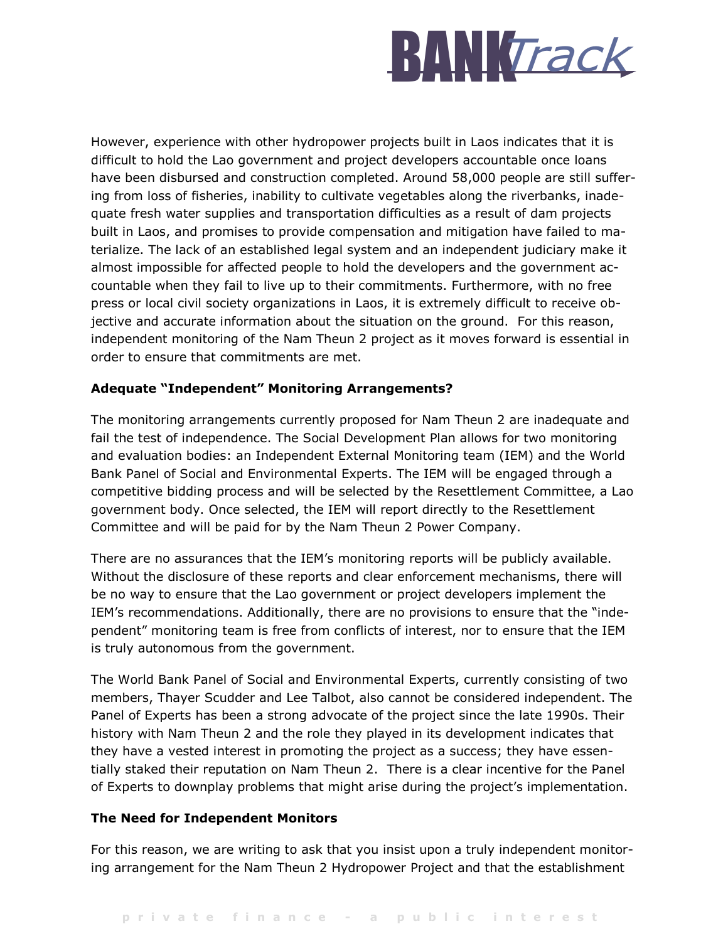

However, experience with other hydropower projects built in Laos indicates that it is difficult to hold the Lao government and project developers accountable once loans have been disbursed and construction completed. Around 58,000 people are still suffering from loss of fisheries, inability to cultivate vegetables along the riverbanks, inadequate fresh water supplies and transportation difficulties as a result of dam projects built in Laos, and promises to provide compensation and mitigation have failed to materialize. The lack of an established legal system and an independent judiciary make it almost impossible for affected people to hold the developers and the government accountable when they fail to live up to their commitments. Furthermore, with no free press or local civil society organizations in Laos, it is extremely difficult to receive objective and accurate information about the situation on the ground. For this reason, independent monitoring of the Nam Theun 2 project as it moves forward is essential in order to ensure that commitments are met.

## Adequate "Independent" Monitoring Arrangements?

The monitoring arrangements currently proposed for Nam Theun 2 are inadequate and fail the test of independence. The Social Development Plan allows for two monitoring and evaluation bodies: an Independent External Monitoring team (IEM) and the World Bank Panel of Social and Environmental Experts. The IEM will be engaged through a competitive bidding process and will be selected by the Resettlement Committee, a Lao government body. Once selected, the IEM will report directly to the Resettlement Committee and will be paid for by the Nam Theun 2 Power Company.

There are no assurances that the IEM's monitoring reports will be publicly available. Without the disclosure of these reports and clear enforcement mechanisms, there will be no way to ensure that the Lao government or project developers implement the IEM's recommendations. Additionally, there are no provisions to ensure that the "independent" monitoring team is free from conflicts of interest, nor to ensure that the IEM is truly autonomous from the government.

The World Bank Panel of Social and Environmental Experts, currently consisting of two members, Thayer Scudder and Lee Talbot, also cannot be considered independent. The Panel of Experts has been a strong advocate of the project since the late 1990s. Their history with Nam Theun 2 and the role they played in its development indicates that they have a vested interest in promoting the project as a success; they have essentially staked their reputation on Nam Theun 2. There is a clear incentive for the Panel of Experts to downplay problems that might arise during the project's implementation.

## The Need for Independent Monitors

For this reason, we are writing to ask that you insist upon a truly independent monitoring arrangement for the Nam Theun 2 Hydropower Project and that the establishment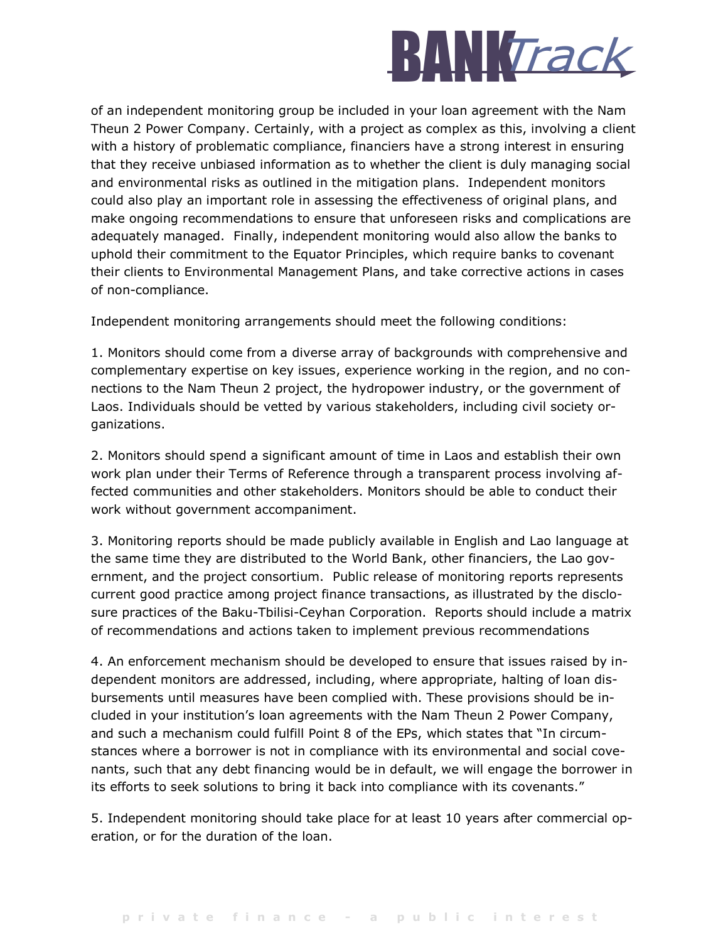

of an independent monitoring group be included in your loan agreement with the Nam Theun 2 Power Company. Certainly, with a project as complex as this, involving a client with a history of problematic compliance, financiers have a strong interest in ensuring that they receive unbiased information as to whether the client is duly managing social and environmental risks as outlined in the mitigation plans. Independent monitors could also play an important role in assessing the effectiveness of original plans, and make ongoing recommendations to ensure that unforeseen risks and complications are adequately managed. Finally, independent monitoring would also allow the banks to uphold their commitment to the Equator Principles, which require banks to covenant their clients to Environmental Management Plans, and take corrective actions in cases of non-compliance.

Independent monitoring arrangements should meet the following conditions:

1. Monitors should come from a diverse array of backgrounds with comprehensive and complementary expertise on key issues, experience working in the region, and no connections to the Nam Theun 2 project, the hydropower industry, or the government of Laos. Individuals should be vetted by various stakeholders, including civil society organizations.

2. Monitors should spend a significant amount of time in Laos and establish their own work plan under their Terms of Reference through a transparent process involving affected communities and other stakeholders. Monitors should be able to conduct their work without government accompaniment.

3. Monitoring reports should be made publicly available in English and Lao language at the same time they are distributed to the World Bank, other financiers, the Lao government, and the project consortium. Public release of monitoring reports represents current good practice among project finance transactions, as illustrated by the disclosure practices of the Baku-Tbilisi-Ceyhan Corporation. Reports should include a matrix of recommendations and actions taken to implement previous recommendations

4. An enforcement mechanism should be developed to ensure that issues raised by independent monitors are addressed, including, where appropriate, halting of loan disbursements until measures have been complied with. These provisions should be included in your institution's loan agreements with the Nam Theun 2 Power Company, and such a mechanism could fulfill Point 8 of the EPs, which states that "In circumstances where a borrower is not in compliance with its environmental and social covenants, such that any debt financing would be in default, we will engage the borrower in its efforts to seek solutions to bring it back into compliance with its covenants."

5. Independent monitoring should take place for at least 10 years after commercial operation, or for the duration of the loan.